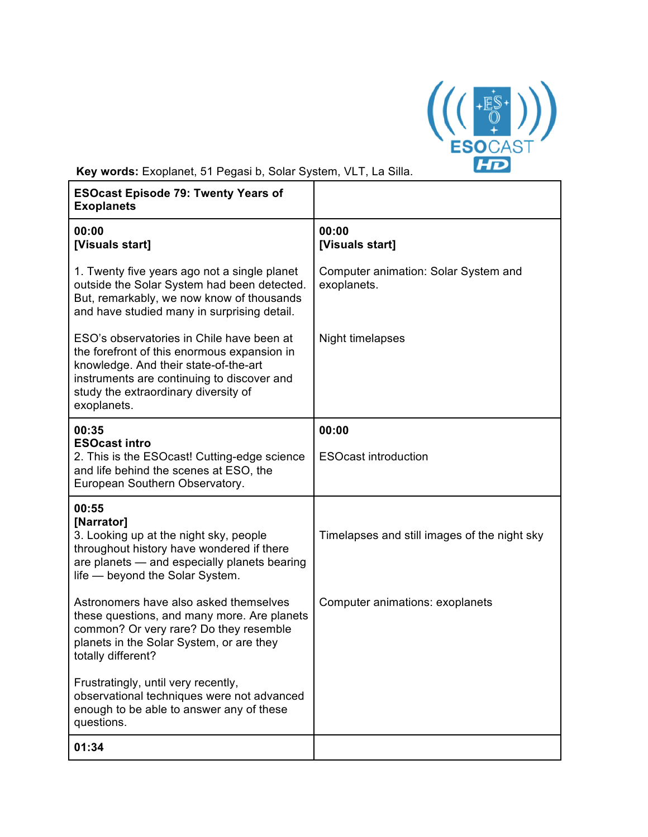

**Key words:** Exoplanet, 51 Pegasi b, Solar System, VLT, La Silla.

| <b>ESOcast Episode 79: Twenty Years of</b><br><b>Exoplanets</b>                                                                                                                                                                        |                                                     |
|----------------------------------------------------------------------------------------------------------------------------------------------------------------------------------------------------------------------------------------|-----------------------------------------------------|
| 00:00<br>[Visuals start]                                                                                                                                                                                                               | 00:00<br>[Visuals start]                            |
| 1. Twenty five years ago not a single planet<br>outside the Solar System had been detected.<br>But, remarkably, we now know of thousands<br>and have studied many in surprising detail.                                                | Computer animation: Solar System and<br>exoplanets. |
| ESO's observatories in Chile have been at<br>the forefront of this enormous expansion in<br>knowledge. And their state-of-the-art<br>instruments are continuing to discover and<br>study the extraordinary diversity of<br>exoplanets. | Night timelapses                                    |
| 00:35                                                                                                                                                                                                                                  | 00:00                                               |
| <b>ESOcast intro</b><br>2. This is the ESOcast! Cutting-edge science<br>and life behind the scenes at ESO, the<br>European Southern Observatory.                                                                                       | <b>ESOcast introduction</b>                         |
| 00:55<br>[Narrator]<br>3. Looking up at the night sky, people<br>throughout history have wondered if there<br>are planets - and especially planets bearing<br>life - beyond the Solar System.                                          | Timelapses and still images of the night sky        |
| Astronomers have also asked themselves<br>these questions, and many more. Are planets<br>common? Or very rare? Do they resemble<br>planets in the Solar System, or are they<br>totally different?                                      | Computer animations: exoplanets                     |
| Frustratingly, until very recently,<br>observational techniques were not advanced<br>enough to be able to answer any of these<br>questions.                                                                                            |                                                     |
| 01:34                                                                                                                                                                                                                                  |                                                     |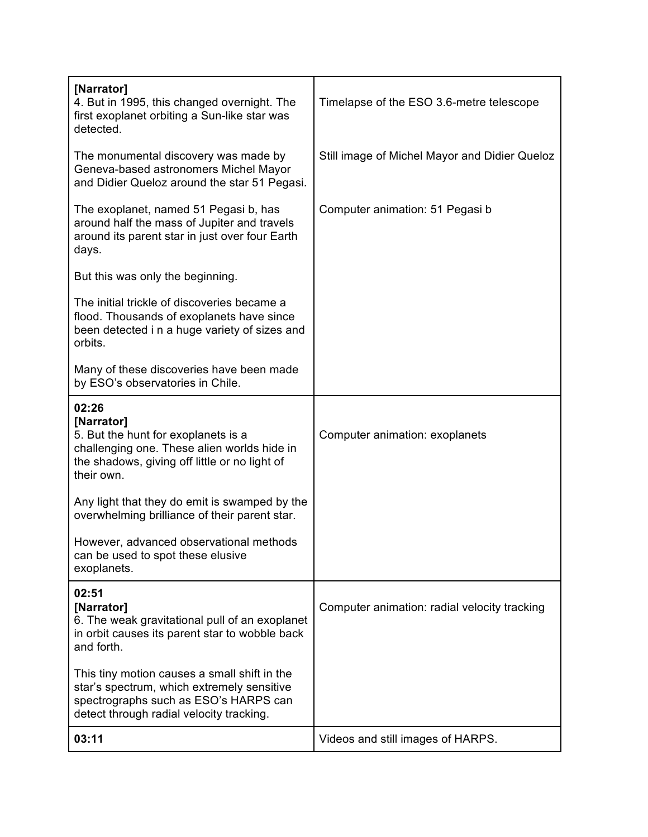| [Narrator]<br>4. But in 1995, this changed overnight. The<br>first exoplanet orbiting a Sun-like star was<br>detected.                                                          | Timelapse of the ESO 3.6-metre telescope      |
|---------------------------------------------------------------------------------------------------------------------------------------------------------------------------------|-----------------------------------------------|
| The monumental discovery was made by<br>Geneva-based astronomers Michel Mayor<br>and Didier Queloz around the star 51 Pegasi.                                                   | Still image of Michel Mayor and Didier Queloz |
| The exoplanet, named 51 Pegasi b, has<br>around half the mass of Jupiter and travels<br>around its parent star in just over four Earth<br>days.                                 | Computer animation: 51 Pegasi b               |
| But this was only the beginning.                                                                                                                                                |                                               |
| The initial trickle of discoveries became a<br>flood. Thousands of exoplanets have since<br>been detected i n a huge variety of sizes and<br>orbits.                            |                                               |
| Many of these discoveries have been made<br>by ESO's observatories in Chile.                                                                                                    |                                               |
| 02:26<br>[Narrator]<br>5. But the hunt for exoplanets is a<br>challenging one. These alien worlds hide in<br>the shadows, giving off little or no light of<br>their own.        | Computer animation: exoplanets                |
| Any light that they do emit is swamped by the<br>overwhelming brilliance of their parent star.                                                                                  |                                               |
| However, advanced observational methods<br>can be used to spot these elusive<br>exoplanets.                                                                                     |                                               |
| 02:51<br>[Narrator]<br>6. The weak gravitational pull of an exoplanet<br>in orbit causes its parent star to wobble back<br>and forth.                                           | Computer animation: radial velocity tracking  |
| This tiny motion causes a small shift in the<br>star's spectrum, which extremely sensitive<br>spectrographs such as ESO's HARPS can<br>detect through radial velocity tracking. |                                               |
| 03:11                                                                                                                                                                           | Videos and still images of HARPS.             |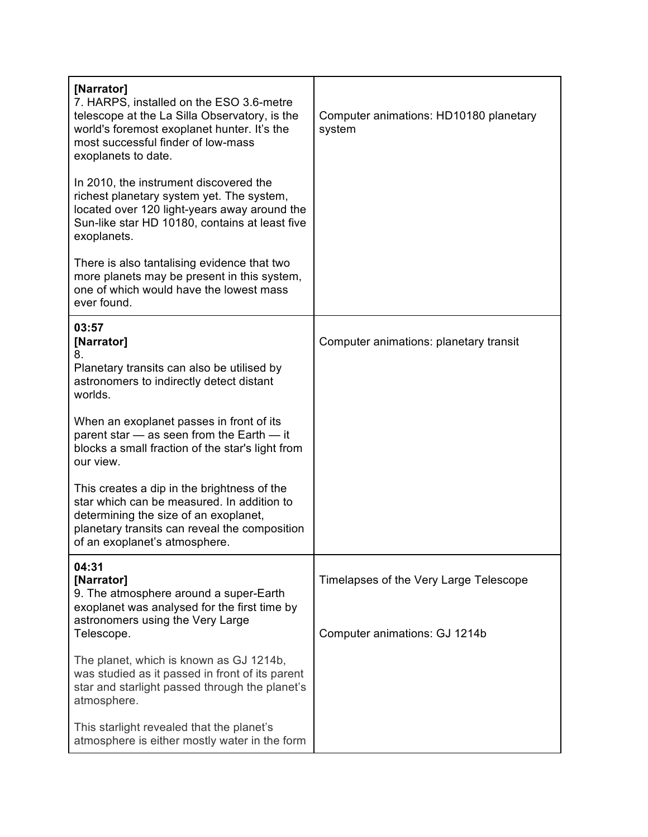| [Narrator]<br>7. HARPS, installed on the ESO 3.6-metre<br>telescope at the La Silla Observatory, is the<br>world's foremost exoplanet hunter. It's the<br>most successful finder of low-mass<br>exoplanets to date.  | Computer animations: HD10180 planetary<br>system                        |
|----------------------------------------------------------------------------------------------------------------------------------------------------------------------------------------------------------------------|-------------------------------------------------------------------------|
| In 2010, the instrument discovered the<br>richest planetary system yet. The system,<br>located over 120 light-years away around the<br>Sun-like star HD 10180, contains at least five<br>exoplanets.                 |                                                                         |
| There is also tantalising evidence that two<br>more planets may be present in this system,<br>one of which would have the lowest mass<br>ever found.                                                                 |                                                                         |
| 03:57<br>[Narrator]<br>8.                                                                                                                                                                                            | Computer animations: planetary transit                                  |
| Planetary transits can also be utilised by<br>astronomers to indirectly detect distant<br>worlds.                                                                                                                    |                                                                         |
| When an exoplanet passes in front of its<br>parent star - as seen from the Earth - it<br>blocks a small fraction of the star's light from<br>our view.                                                               |                                                                         |
| This creates a dip in the brightness of the<br>star which can be measured. In addition to<br>determining the size of an exoplanet,<br>planetary transits can reveal the composition<br>of an exoplanet's atmosphere. |                                                                         |
| 04:31<br>[Narrator]<br>9. The atmosphere around a super-Earth<br>exoplanet was analysed for the first time by<br>astronomers using the Very Large<br>Telescope.                                                      | Timelapses of the Very Large Telescope<br>Computer animations: GJ 1214b |
| The planet, which is known as GJ 1214b,<br>was studied as it passed in front of its parent<br>star and starlight passed through the planet's<br>atmosphere.                                                          |                                                                         |
| This starlight revealed that the planet's<br>atmosphere is either mostly water in the form                                                                                                                           |                                                                         |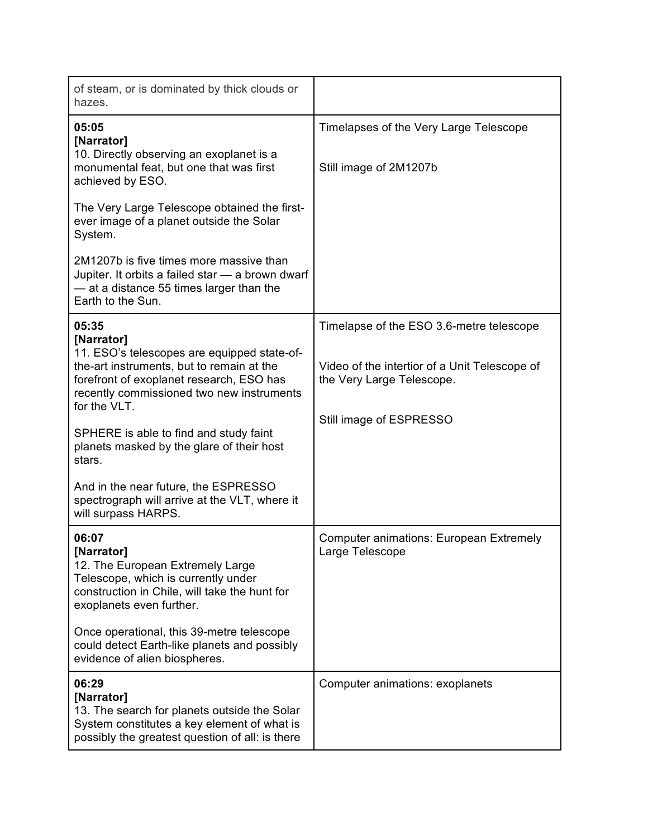| of steam, or is dominated by thick clouds or<br>hazes.                                                                                                                                                                   |                                                                                                                        |
|--------------------------------------------------------------------------------------------------------------------------------------------------------------------------------------------------------------------------|------------------------------------------------------------------------------------------------------------------------|
| 05:05<br>[Narrator]<br>10. Directly observing an exoplanet is a<br>monumental feat, but one that was first<br>achieved by ESO.                                                                                           | Timelapses of the Very Large Telescope<br>Still image of 2M1207b                                                       |
| The Very Large Telescope obtained the first-<br>ever image of a planet outside the Solar<br>System.                                                                                                                      |                                                                                                                        |
| 2M1207b is five times more massive than<br>Jupiter. It orbits a failed star - a brown dwarf<br>- at a distance 55 times larger than the<br>Earth to the Sun.                                                             |                                                                                                                        |
| 05:35<br>[Narrator]<br>11. ESO's telescopes are equipped state-of-<br>the-art instruments, but to remain at the<br>forefront of exoplanet research, ESO has<br>recently commissioned two new instruments<br>for the VLT. | Timelapse of the ESO 3.6-metre telescope<br>Video of the intertior of a Unit Telescope of<br>the Very Large Telescope. |
| SPHERE is able to find and study faint<br>planets masked by the glare of their host<br>stars.                                                                                                                            | Still image of ESPRESSO                                                                                                |
| And in the near future, the ESPRESSO<br>spectrograph will arrive at the VLT, where it<br>will surpass HARPS.                                                                                                             |                                                                                                                        |
| 06:07<br>[Narrator]<br>12. The European Extremely Large<br>Telescope, which is currently under<br>construction in Chile, will take the hunt for<br>exoplanets even further.                                              | <b>Computer animations: European Extremely</b><br>Large Telescope                                                      |
| Once operational, this 39-metre telescope<br>could detect Earth-like planets and possibly<br>evidence of alien biospheres.                                                                                               |                                                                                                                        |
| 06:29<br>[Narrator]<br>13. The search for planets outside the Solar<br>System constitutes a key element of what is<br>possibly the greatest question of all: is there                                                    | Computer animations: exoplanets                                                                                        |